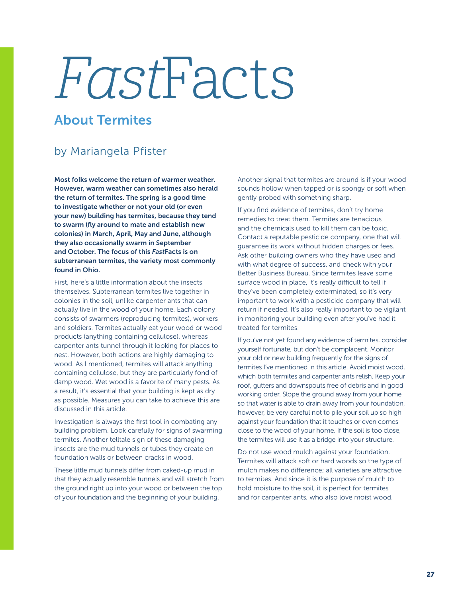## FastFacts

## About Termites

## by Mariangela Pfister

Most folks welcome the return of warmer weather. However, warm weather can sometimes also herald the return of termites. The spring is a good time to investigate whether or not your old (or even your new) building has termites, because they tend to swarm (fly around to mate and establish new colonies) in March, April, May and June, although they also occasionally swarm in September and October. The focus of this *Fast*Facts is on subterranean termites, the variety most commonly found in Ohio.

First, here's a little information about the insects themselves. Subterranean termites live together in colonies in the soil, unlike carpenter ants that can actually live in the wood of your home. Each colony consists of swarmers (reproducing termites), workers and soldiers. Termites actually eat your wood or wood products (anything containing cellulose), whereas carpenter ants tunnel through it looking for places to nest. However, both actions are highly damaging to wood. As I mentioned, termites will attack anything containing cellulose, but they are particularly fond of damp wood. Wet wood is a favorite of many pests. As a result, it's essential that your building is kept as dry as possible. Measures you can take to achieve this are discussed in this article.

Investigation is always the first tool in combating any building problem. Look carefully for signs of swarming termites. Another telltale sign of these damaging insects are the mud tunnels or tubes they create on foundation walls or between cracks in wood.

These little mud tunnels differ from caked-up mud in that they actually resemble tunnels and will stretch from the ground right up into your wood or between the top of your foundation and the beginning of your building.

Another signal that termites are around is if your wood sounds hollow when tapped or is spongy or soft when gently probed with something sharp.

If you find evidence of termites, don't try home remedies to treat them. Termites are tenacious and the chemicals used to kill them can be toxic. Contact a reputable pesticide company, one that will guarantee its work without hidden charges or fees. Ask other building owners who they have used and with what degree of success, and check with your Better Business Bureau. Since termites leave some surface wood in place, it's really difficult to tell if they've been completely exterminated, so it's very important to work with a pesticide company that will return if needed. It's also really important to be vigilant in monitoring your building even after you've had it treated for termites.

If you've not yet found any evidence of termites, consider yourself fortunate, but don't be complacent. Monitor your old or new building frequently for the signs of termites I've mentioned in this article. Avoid moist wood, which both termites and carpenter ants relish. Keep your roof, gutters and downspouts free of debris and in good working order. Slope the ground away from your home so that water is able to drain away from your foundation, however, be very careful not to pile your soil up so high against your foundation that it touches or even comes close to the wood of your home. If the soil is too close, the termites will use it as a bridge into your structure.

Do not use wood mulch against your foundation. Termites will attack soft or hard woods so the type of mulch makes no difference; all varieties are attractive to termites. And since it is the purpose of mulch to hold moisture to the soil, it is perfect for termites and for carpenter ants, who also love moist wood.